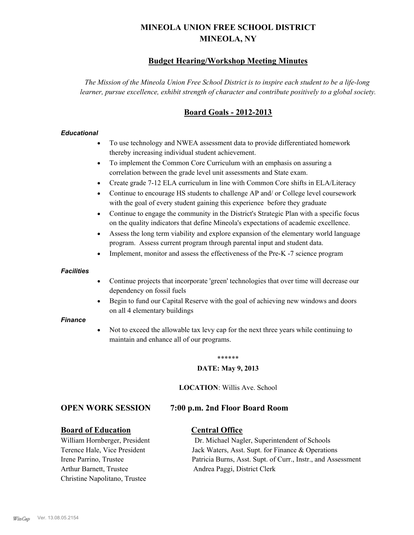# **MINEOLA UNION FREE SCHOOL DISTRICT MINEOLA, NY**

# **Budget Hearing/Workshop Meeting Minutes**

*The Mission of the Mineola Union Free School District is to inspire each student to be a life-long learner, pursue excellence, exhibit strength of character and contribute positively to a global society.*

# **Board Goals - 2012-2013**

## *Educational*

- · To use technology and NWEA assessment data to provide differentiated homework thereby increasing individual student achievement.
- · To implement the Common Core Curriculum with an emphasis on assuring a correlation between the grade level unit assessments and State exam.
- Create grade 7-12 ELA curriculum in line with Common Core shifts in ELA/Literacy
- Continue to encourage HS students to challenge AP and/ or College level coursework with the goal of every student gaining this experience before they graduate
- · Continue to engage the community in the District's Strategic Plan with a specific focus on the quality indicators that define Mineola's expectations of academic excellence.
- Assess the long term viability and explore expansion of the elementary world language program. Assess current program through parental input and student data.
- Implement, monitor and assess the effectiveness of the Pre-K -7 science program

#### *Facilities*

- · Continue projects that incorporate 'green' technologies that over time will decrease our dependency on fossil fuels
- Begin to fund our Capital Reserve with the goal of achieving new windows and doors on all 4 elementary buildings

#### *Finance*

Not to exceed the allowable tax levy cap for the next three years while continuing to maintain and enhance all of our programs.

#### \*\*\*\*\*\*

#### **DATE: May 9, 2013**

**LOCATION**: Willis Ave. School

# **OPEN WORK SESSION 7:00 p.m. 2nd Floor Board Room**

# **Board of Education Central Office**

Arthur Barnett, Trustee Andrea Paggi, District Clerk Christine Napolitano, Trustee

William Hornberger, President Dr. Michael Nagler, Superintendent of Schools Terence Hale, Vice President Jack Waters, Asst. Supt. for Finance & Operations Irene Parrino, Trustee Patricia Burns, Asst. Supt. of Curr., Instr., and Assessment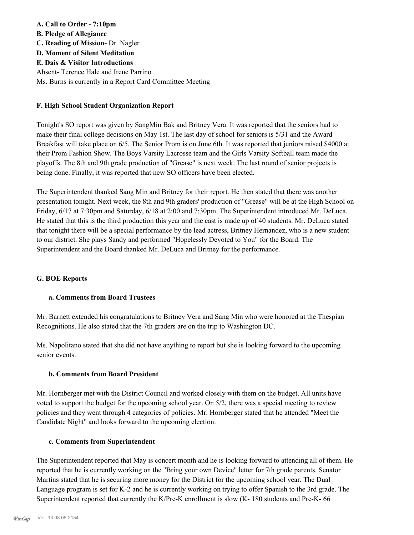**A. Call to Order - 7:10pm B. Pledge of Allegiance C. Reading of Mission-** Dr. Nagler **D. Moment of Silent Meditation E. Dais & Visitor Introductions -** Absent- Terence Hale and Irene Parrino Ms. Burns is currently in a Report Card Committee Meeting

## **F. High School Student Organization Report**

Tonight's SO report was given by SangMin Bak and Britney Vera. It was reported that the seniors had to make their final college decisions on May 1st. The last day of school for seniors is 5/31 and the Award Breakfast will take place on 6/5. The Senior Prom is on June 6th. It was reported that juniors raised \$4000 at their Prom Fashion Show. The Boys Varsity Lacrosse team and the Girls Varsity Softball team made the playoffs. The 8th and 9th grade production of "Grease" is next week. The last round of senior projects is being done. Finally, it was reported that new SO officers have been elected.

The Superintendent thanked Sang Min and Britney for their report. He then stated that there was another presentation tonight. Next week, the 8th and 9th graders' production of "Grease" will be at the High School on Friday, 6/17 at 7:30pm and Saturday, 6/18 at 2:00 and 7:30pm. The Superintendent introduced Mr. DeLuca. He stated that this is the third production this year and the cast is made up of 40 students. Mr. DeLuca stated that tonight there will be a special performance by the lead actress, Britney Hernandez, who is a new student to our district. She plays Sandy and performed "Hopelessly Devoted to You" for the Board. The Superintendent and the Board thanked Mr. DeLuca and Britney for the performance.

# **G. BOE Reports**

#### **a. Comments from Board Trustees**

Mr. Barnett extended his congratulations to Britney Vera and Sang Min who were honored at the Thespian Recognitions. He also stated that the 7th graders are on the trip to Washington DC.

Ms. Napolitano stated that she did not have anything to report but she is looking forward to the upcoming senior events.

#### **b. Comments from Board President**

Mr. Hornberger met with the District Council and worked closely with them on the budget. All units have voted to support the budget for the upcoming school year. On 5/2, there was a special meeting to review policies and they went through 4 categories of policies. Mr. Hornberger stated that he attended "Meet the Candidate Night" and looks forward to the upcoming election.

#### **c. Comments from Superintendent**

The Superintendent reported that May is concert month and he is looking forward to attending all of them. He reported that he is currently working on the "Bring your own Device" letter for 7th grade parents. Senator Martins stated that he is securing more money for the District for the upcoming school year. The Dual Language program is set for K-2 and he is currently working on trying to offer Spanish to the 3rd grade. The Superintendent reported that currently the K/Pre-K enrollment is slow (K- 180 students and Pre-K- 66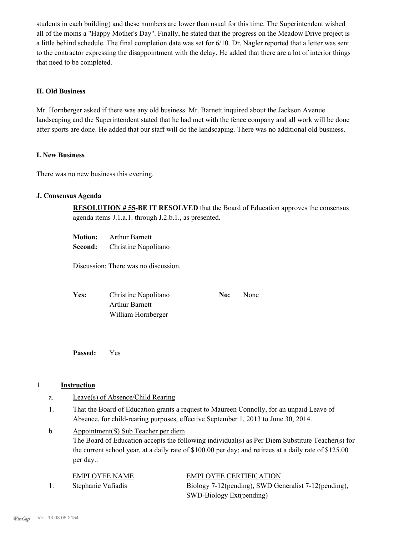students in each building) and these numbers are lower than usual for this time. The Superintendent wished all of the moms a "Happy Mother's Day". Finally, he stated that the progress on the Meadow Drive project is a little behind schedule. The final completion date was set for 6/10. Dr. Nagler reported that a letter was sent to the contractor expressing the disappointment with the delay. He added that there are a lot of interior things that need to be completed.

### **H. Old Business**

Mr. Hornberger asked if there was any old business. Mr. Barnett inquired about the Jackson Avenue landscaping and the Superintendent stated that he had met with the fence company and all work will be done after sports are done. He added that our staff will do the landscaping. There was no additional old business.

### **I. New Business**

There was no new business this evening.

# **J. Consensus Agenda**

**RESOLUTION # 55-BE IT RESOLVED** that the Board of Education approves the consensus agenda items J.1.a.1. through J.2.b.1., as presented.

| <b>Motion:</b> | <b>Arthur Barnett</b> |
|----------------|-----------------------|
| Second:        | Christine Napolitano  |

Discussion: There was no discussion.

| Yes: | Christine Napolitano  | No: | None |
|------|-----------------------|-----|------|
|      | <b>Arthur Barnett</b> |     |      |
|      | William Hornberger    |     |      |

**Passed:** Yes

#### 1. **Instruction**

- a. Leave(s) of Absence/Child Rearing
- That the Board of Education grants a request to Maureen Connolly, for an unpaid Leave of Absence, for child-rearing purposes, effective September 1, 2013 to June 30, 2014. 1.
- Appointment(S) Sub Teacher per diem The Board of Education accepts the following individual(s) as Per Diem Substitute Teacher(s) for the current school year, at a daily rate of \$100.00 per day; and retirees at a daily rate of \$125.00 per day.: b.

| EMPLOYEE NAME      | <b>EMPLOYEE CERTIFICATION</b>                        |
|--------------------|------------------------------------------------------|
| Stephanie Vafiadis | Biology 7-12(pending), SWD Generalist 7-12(pending), |
|                    | SWD-Biology Ext(pending)                             |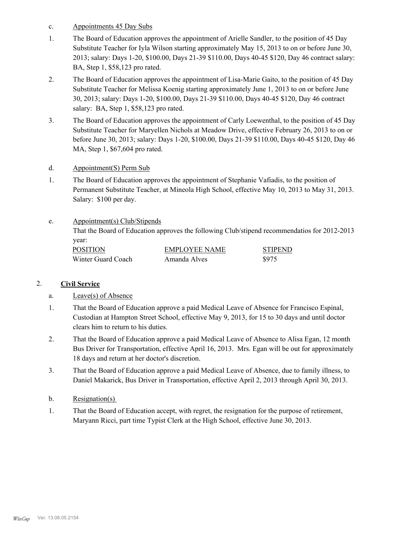- c. Appointments 45 Day Subs
- The Board of Education approves the appointment of Arielle Sandler, to the position of 45 Day Substitute Teacher for Iyla Wilson starting approximately May 15, 2013 to on or before June 30, 2013; salary: Days 1-20, \$100.00, Days 21-39 \$110.00, Days 40-45 \$120, Day 46 contract salary: BA, Step 1, \$58,123 pro rated. 1.
- The Board of Education approves the appointment of Lisa-Marie Gaito, to the position of 45 Day Substitute Teacher for Melissa Koenig starting approximately June 1, 2013 to on or before June 30, 2013; salary: Days 1-20, \$100.00, Days 21-39 \$110.00, Days 40-45 \$120, Day 46 contract salary: BA, Step 1, \$58,123 pro rated. 2.
- The Board of Education approves the appointment of Carly Loewenthal, to the position of 45 Day Substitute Teacher for Maryellen Nichols at Meadow Drive, effective February 26, 2013 to on or before June 30, 2013; salary: Days 1-20, \$100.00, Days 21-39 \$110.00, Days 40-45 \$120, Day 46 MA, Step 1, \$67,604 pro rated. 3.
- d. Appointment(S) Perm Sub
- The Board of Education approves the appointment of Stephanie Vafiadis, to the position of Permanent Substitute Teacher, at Mineola High School, effective May 10, 2013 to May 31, 2013. Salary: \$100 per day. 1.

#### Appointment(s) Club/Stipends e.

That the Board of Education approves the following Club/stipend recommendatios for 2012-2013 year:

| <b>POSITION</b>    | EMPLOYEE NAME | <b>STIPEND</b> |
|--------------------|---------------|----------------|
| Winter Guard Coach | Amanda Alves  | \$975          |

# 2. **Civil Service**

# a. Leave(s) of Absence

- That the Board of Education approve a paid Medical Leave of Absence for Francisco Espinal, Custodian at Hampton Street School, effective May 9, 2013, for 15 to 30 days and until doctor clears him to return to his duties. 1.
- That the Board of Education approve a paid Medical Leave of Absence to Alisa Egan, 12 month Bus Driver for Transportation, effective April 16, 2013. Mrs. Egan will be out for approximately 18 days and return at her doctor's discretion. 2.
- That the Board of Education approve a paid Medical Leave of Absence, due to family illness, to Daniel Makarick, Bus Driver in Transportation, effective April 2, 2013 through April 30, 2013. 3.
- b. Resignation(s)
- That the Board of Education accept, with regret, the resignation for the purpose of retirement, Maryann Ricci, part time Typist Clerk at the High School, effective June 30, 2013. 1.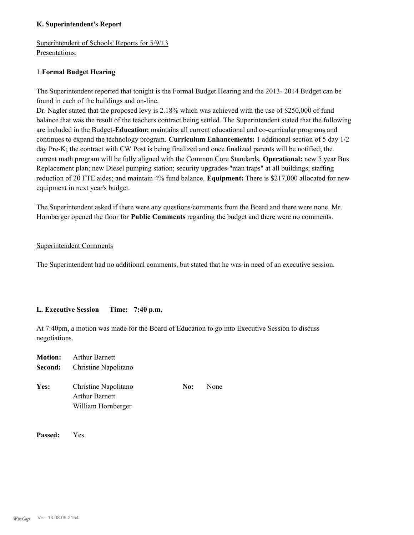# **K. Superintendent's Report**

Superintendent of Schools' Reports for 5/9/13 Presentations:

# 1.**Formal Budget Hearing**

The Superintendent reported that tonight is the Formal Budget Hearing and the 2013- 2014 Budget can be found in each of the buildings and on-line.

Dr. Nagler stated that the proposed levy is 2.18% which was achieved with the use of \$250,000 of fund balance that was the result of the teachers contract being settled. The Superintendent stated that the following are included in the Budget-**Education:** maintains all current educational and co-curricular programs and continues to expand the technology program. **Curriculum Enhancements:** 1 additional section of 5 day 1/2 day Pre-K; the contract with CW Post is being finalized and once finalized parents will be notified; the current math program will be fully aligned with the Common Core Standards. **Operational:** new 5 year Bus Replacement plan; new Diesel pumping station; security upgrades-"man traps" at all buildings; staffing reduction of 20 FTE aides; and maintain 4% fund balance. **Equipment:** There is \$217,000 allocated for new equipment in next year's budget.

The Superintendent asked if there were any questions/comments from the Board and there were none. Mr. Hornberger opened the floor for **Public Comments** regarding the budget and there were no comments.

### Superintendent Comments

The Superintendent had no additional comments, but stated that he was in need of an executive session.

# **L. Executive Session Time: 7:40 p.m.**

At 7:40pm, a motion was made for the Board of Education to go into Executive Session to discuss negotiations.

| <b>Motion:</b> | <b>Arthur Barnett</b><br><b>Second:</b> Christine Napolitano        |     |      |
|----------------|---------------------------------------------------------------------|-----|------|
| Yes:           | Christine Napolitano<br><b>Arthur Barnett</b><br>William Hornberger | No: | None |

**Passed:** Yes